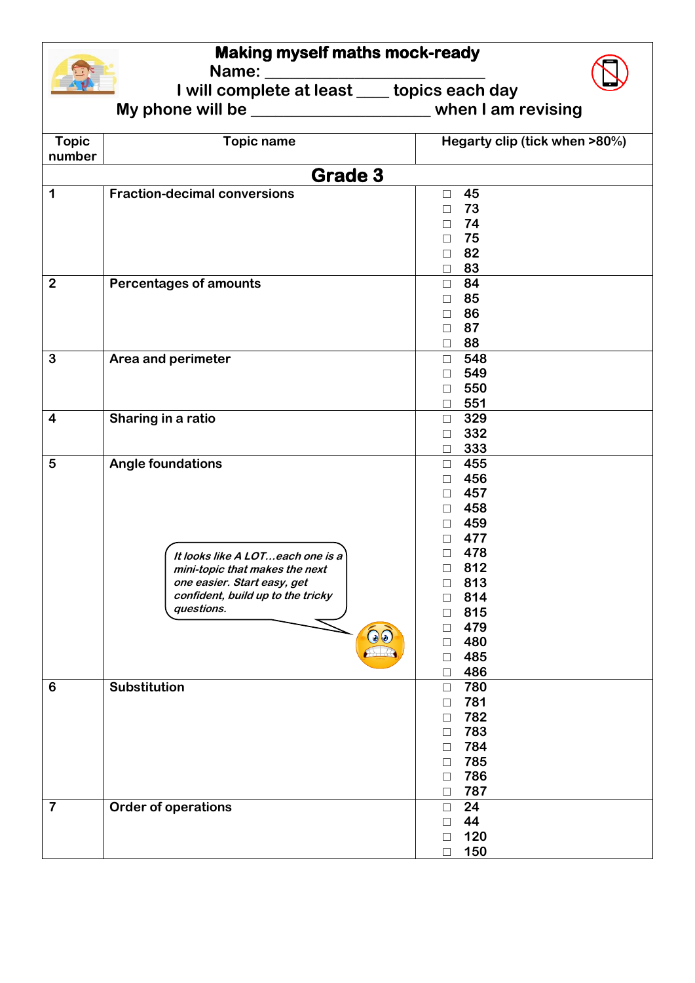## **Making myself maths mock-ready**

**Name: \_\_\_\_\_\_\_\_\_\_\_\_\_\_\_\_\_\_\_\_\_\_\_\_\_\_\_** 

**I will complete at least \_\_\_\_ topics each day**



**My phone will be \_\_\_\_\_\_\_\_\_\_\_\_\_\_\_\_\_\_\_\_\_\_ when I am revising** 

| <b>Topic</b><br>number  | <b>Topic name</b>                                                                                                                                                                           | Hegarty clip (tick when >80%)                                                                                                                                                                                               |  |  |  |
|-------------------------|---------------------------------------------------------------------------------------------------------------------------------------------------------------------------------------------|-----------------------------------------------------------------------------------------------------------------------------------------------------------------------------------------------------------------------------|--|--|--|
| <b>Grade 3</b>          |                                                                                                                                                                                             |                                                                                                                                                                                                                             |  |  |  |
| $\mathbf 1$             | <b>Fraction-decimal conversions</b>                                                                                                                                                         | 45<br>$\Box$<br>73<br>$\Box$<br>74<br>$\Box$<br>75<br>$\Box$<br>82<br>$\Box$<br>83<br>$\Box$                                                                                                                                |  |  |  |
| $\overline{2}$          | <b>Percentages of amounts</b>                                                                                                                                                               | 84<br>$\Box$<br>85<br>$\Box$<br>86<br>$\Box$<br>87<br>$\Box$<br>88<br>$\Box$                                                                                                                                                |  |  |  |
| $\mathbf{3}$            | Area and perimeter                                                                                                                                                                          | 548<br>$\Box$<br>549<br>$\Box$<br>550<br>$\Box$<br>551<br>$\Box$                                                                                                                                                            |  |  |  |
| $\overline{\mathbf{4}}$ | Sharing in a ratio                                                                                                                                                                          | 329<br>$\Box$<br>332<br>$\Box$<br>333<br>$\Box$                                                                                                                                                                             |  |  |  |
| $\sqrt{5}$              | <b>Angle foundations</b><br>It looks like A LOTeach one is a<br>mini-topic that makes the next<br>one easier. Start easy, get<br>confident, build up to the tricky<br>questions.<br>$\odot$ | 455<br>$\Box$<br>456<br>$\Box$<br>457<br>$\Box$<br>458<br>$\Box$<br>459<br>$\Box$<br>477<br>$\Box$<br>478<br>П.<br>812<br>П<br>813<br>□<br>814<br>□<br>815<br>□<br>479<br>П<br>480<br>$\Box$<br>$\Box$ 485<br>486<br>$\Box$ |  |  |  |
| 6                       | <b>Substitution</b>                                                                                                                                                                         | 780<br>$\Box$<br>781<br>$\Box$<br>782<br>$\Box$<br>783<br>П<br>784<br>$\Box$<br>785<br>$\Box$<br>786<br>$\Box$<br>787<br>□                                                                                                  |  |  |  |
| $\overline{\mathbf{7}}$ | <b>Order of operations</b>                                                                                                                                                                  | 24<br>$\Box$<br>44<br>$\Box$<br>120<br>$\Box$<br>150<br>$\Box$                                                                                                                                                              |  |  |  |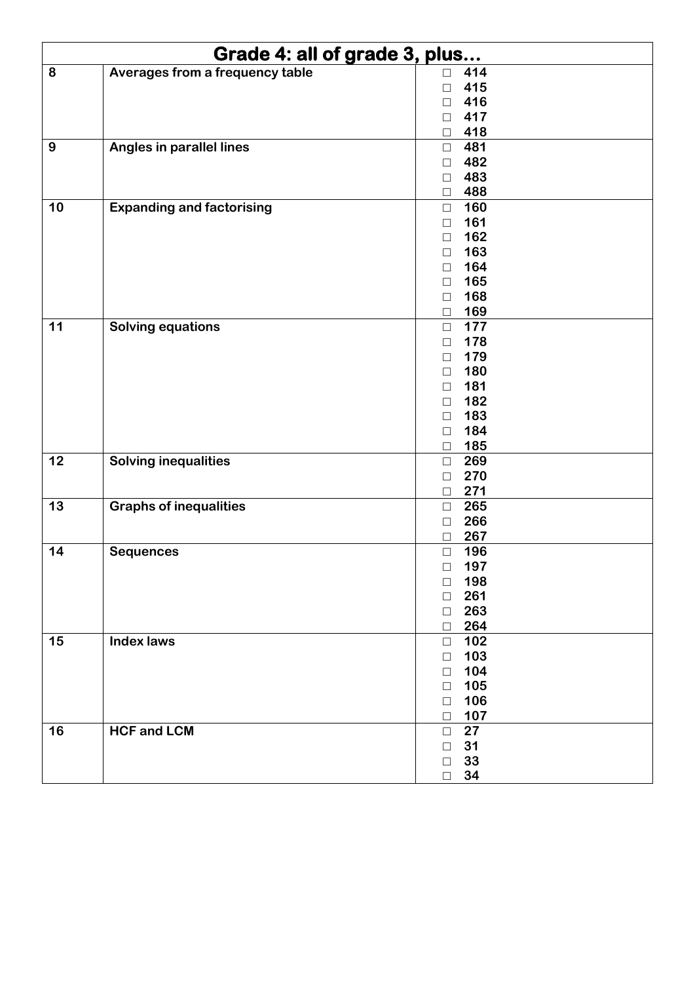| Grade 4: all of grade 3, plus |                                  |        |     |
|-------------------------------|----------------------------------|--------|-----|
| 8                             | Averages from a frequency table  | $\Box$ | 414 |
|                               |                                  | $\Box$ | 415 |
|                               |                                  | $\Box$ | 416 |
|                               |                                  | $\Box$ | 417 |
|                               |                                  | $\Box$ | 418 |
| 9                             | Angles in parallel lines         | $\Box$ | 481 |
|                               |                                  | $\Box$ | 482 |
|                               |                                  | $\Box$ | 483 |
|                               |                                  | $\Box$ | 488 |
| 10                            | <b>Expanding and factorising</b> | $\Box$ | 160 |
|                               |                                  | $\Box$ | 161 |
|                               |                                  | $\Box$ | 162 |
|                               |                                  | $\Box$ | 163 |
|                               |                                  | $\Box$ | 164 |
|                               |                                  | $\Box$ | 165 |
|                               |                                  | $\Box$ | 168 |
|                               |                                  | $\Box$ | 169 |
| 11                            | <b>Solving equations</b>         | $\Box$ | 177 |
|                               |                                  | □      | 178 |
|                               |                                  | □      | 179 |
|                               |                                  | $\Box$ | 180 |
|                               |                                  | $\Box$ | 181 |
|                               |                                  | $\Box$ | 182 |
|                               |                                  | $\Box$ | 183 |
|                               |                                  | $\Box$ | 184 |
|                               |                                  | $\Box$ | 185 |
| 12                            | <b>Solving inequalities</b>      | $\Box$ | 269 |
|                               |                                  | $\Box$ | 270 |
|                               |                                  | $\Box$ | 271 |
| 13                            | <b>Graphs of inequalities</b>    | $\Box$ | 265 |
|                               |                                  | $\Box$ | 266 |
|                               |                                  | $\Box$ | 267 |
| 14                            | <b>Sequences</b>                 | $\Box$ | 196 |
|                               |                                  | $\Box$ | 197 |
|                               |                                  | $\Box$ | 198 |
|                               |                                  | $\Box$ | 261 |
|                               |                                  | $\Box$ | 263 |
|                               |                                  | $\Box$ | 264 |
| 15                            | <b>Index laws</b>                | $\Box$ | 102 |
|                               |                                  | $\Box$ | 103 |
|                               |                                  | $\Box$ | 104 |
|                               |                                  | $\Box$ | 105 |
|                               |                                  | $\Box$ | 106 |
|                               |                                  | $\Box$ | 107 |
| 16                            | <b>HCF and LCM</b>               | $\Box$ | 27  |
|                               |                                  | $\Box$ | 31  |
|                               |                                  | $\Box$ | 33  |
|                               |                                  | $\Box$ | 34  |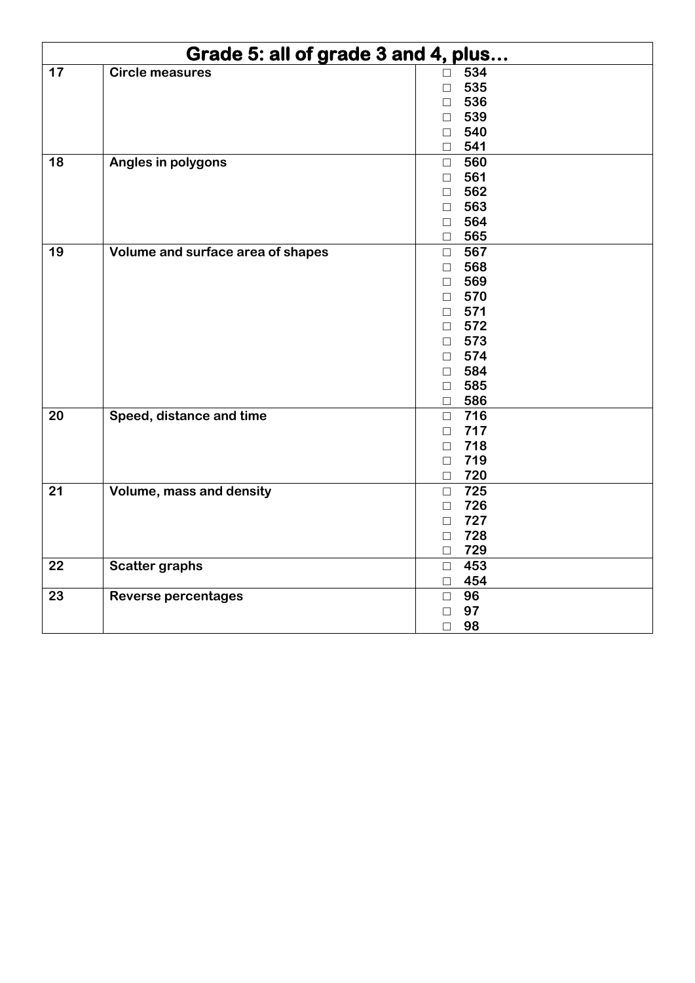| Grade 5: all of grade 3 and 4, plus |                                   |        |            |
|-------------------------------------|-----------------------------------|--------|------------|
| 17                                  | <b>Circle measures</b>            | $\Box$ | 534        |
|                                     |                                   | $\Box$ | 535        |
|                                     |                                   | $\Box$ | 536        |
|                                     |                                   | $\Box$ | 539        |
|                                     |                                   | $\Box$ | 540        |
|                                     |                                   | $\Box$ | 541        |
| 18                                  | Angles in polygons                | $\Box$ | 560        |
|                                     |                                   | $\Box$ | 561        |
|                                     |                                   | $\Box$ | 562        |
|                                     |                                   | $\Box$ | 563        |
|                                     |                                   | $\Box$ | 564        |
|                                     |                                   | $\Box$ | 565        |
| 19                                  | Volume and surface area of shapes | $\Box$ | 567        |
|                                     |                                   | $\Box$ | 568        |
|                                     |                                   | $\Box$ | 569        |
|                                     |                                   | $\Box$ | 570        |
|                                     |                                   | $\Box$ | 571        |
|                                     |                                   | $\Box$ | 572        |
|                                     |                                   | $\Box$ | 573        |
|                                     |                                   | $\Box$ | 574        |
|                                     |                                   | $\Box$ | 584        |
|                                     |                                   | $\Box$ | 585        |
|                                     |                                   | $\Box$ | 586        |
| 20                                  | Speed, distance and time          | $\Box$ | 716        |
|                                     |                                   | $\Box$ | 717        |
|                                     |                                   | $\Box$ | 718        |
|                                     |                                   |        | $\Box$ 719 |
|                                     |                                   |        | $\Box$ 720 |
| 21                                  | <b>Volume, mass and density</b>   | $\Box$ | 725        |
|                                     |                                   | $\Box$ | 726        |
|                                     |                                   | $\Box$ | 727        |
|                                     |                                   | $\Box$ | 728        |
|                                     |                                   | $\Box$ | 729        |
| 22                                  | <b>Scatter graphs</b>             | $\Box$ | 453        |
|                                     |                                   |        | $\Box$ 454 |
| 23                                  | <b>Reverse percentages</b>        |        | $\Box$ 96  |
|                                     |                                   | $\Box$ | 97         |
|                                     |                                   | $\Box$ | 98         |
|                                     |                                   |        |            |